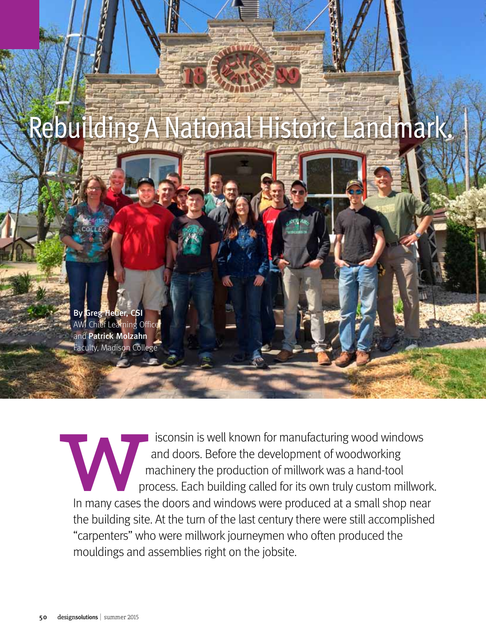

isconsin is well known for manufacturing wood windows and doors. Before the development of woodworking machinery the production of millwork was a hand-tool process. Each building called for its own truly custom millwork. In many cases the doors and windows were produced at a small shop near the building site. At the turn of the last century there were still accomplished "carpenters" who were millwork journeymen who often produced the mouldings and assemblies right on the jobsite. In many cases the building site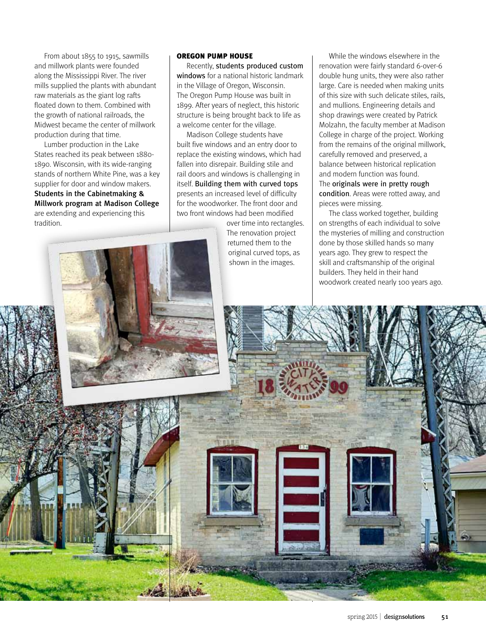From about 1855 to 1915, sawmills and millwork plants were founded along the Mississippi River. The river mills supplied the plants with abundant raw materials as the giant log rafts floated down to them. Combined with the growth of national railroads, the Midwest became the center of millwork production during that time.

Lumber production in the Lake States reached its peak between 1880- 1890. Wisconsin, with its wide-ranging stands of northern White Pine, was a key supplier for door and window makers. Students in the Cabinetmaking & Millwork program at Madison College are extending and experiencing this tradition.

## Oregon Pump House

Recently, students produced custom windows for a national historic landmark in the Village of Oregon, Wisconsin. The Oregon Pump House was built in 1899. After years of neglect, this historic structure is being brought back to life as a welcome center for the village.

Madison College students have built five windows and an entry door to replace the existing windows, which had fallen into disrepair. Building stile and rail doors and windows is challenging in itself. Building them with curved tops presents an increased level of difficulty for the woodworker. The front door and two front windows had been modified

over time into rectangles. The renovation project returned them to the original curved tops, as shown in the images.

While the windows elsewhere in the renovation were fairly standard 6-over-6 double hung units, they were also rather large. Care is needed when making units of this size with such delicate stiles, rails, and mullions. Engineering details and shop drawings were created by Patrick Molzahn, the faculty member at Madison College in charge of the project. Working from the remains of the original millwork, carefully removed and preserved, a balance between historical replication and modern function was found. The originals were in pretty rough condition. Areas were rotted away, and pieces were missing.

The class worked together, building on strengths of each individual to solve the mysteries of milling and construction done by those skilled hands so many years ago. They grew to respect the skill and craftsmanship of the original builders. They held in their hand woodwork created nearly 100 years ago.

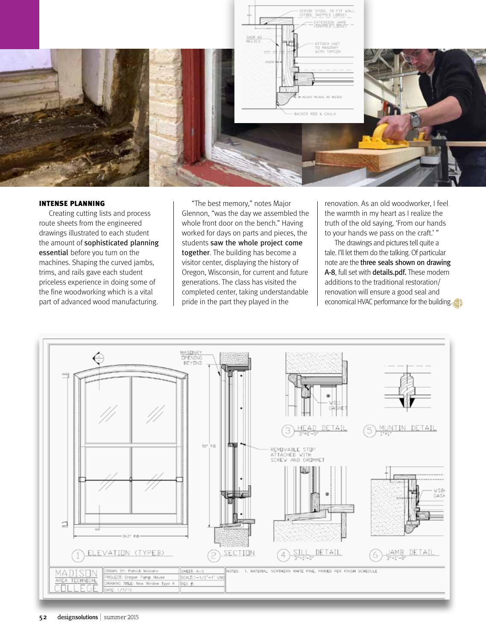

## Intense Planning

Creating cutting lists and process route sheets from the engineered drawings illustrated to each student the amount of sophisticated planning essential before you turn on the machines. Shaping the curved jambs, trims, and rails gave each student priceless experience in doing some of the fine woodworking which is a vital part of advanced wood manufacturing.

"The best memory," notes Major Glennon, "was the day we assembled the whole front door on the bench." Having worked for days on parts and pieces, the students saw the whole project come together. The building has become a visitor center, displaying the history of Oregon, Wisconsin, for current and future generations. The class has visited the completed center, taking understandable pride in the part they played in the

renovation. As an old woodworker, I feel the warmth in my heart as I realize the truth of the old saying, 'From our hands to your hands we pass on the craft.' "

The drawings and pictures tell quite a tale. I'll let them do the talking. Of particular note are the three seals shown on drawing A-8, full set with details.pdf. These modern additions to the traditional restoration/ renovation will ensure a good seal and economical HVAC performance for the building.

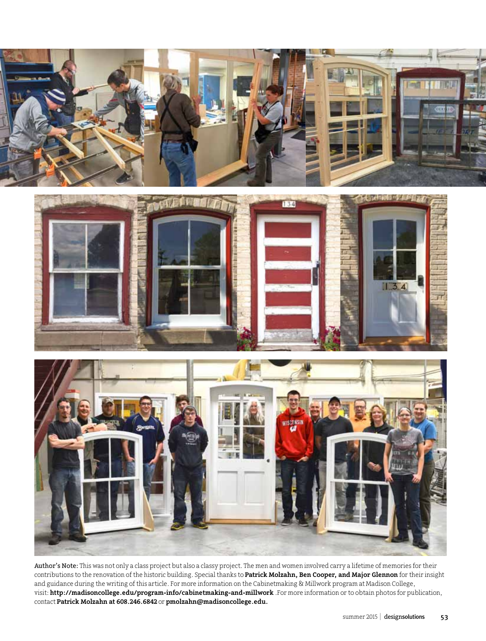

Author's Note: This was not only a class project but also a classy project. The men and women involved carry a lifetime of memories for their contributions to the renovation of the historic building. Special thanks to Patrick Molzahn, Ben Cooper, and Major Glennon for their insight and guidance during the writing of this article. For more information on the Cabinetmaking & Millwork program at Madison College, visit: http://madisoncollege.edu/program-info/cabinetmaking-and-millwork .For more information or to obtain photos for publication, contact Patrick Molzahn at 608.246.6842 or pmolzahn@madisoncollege.edu.